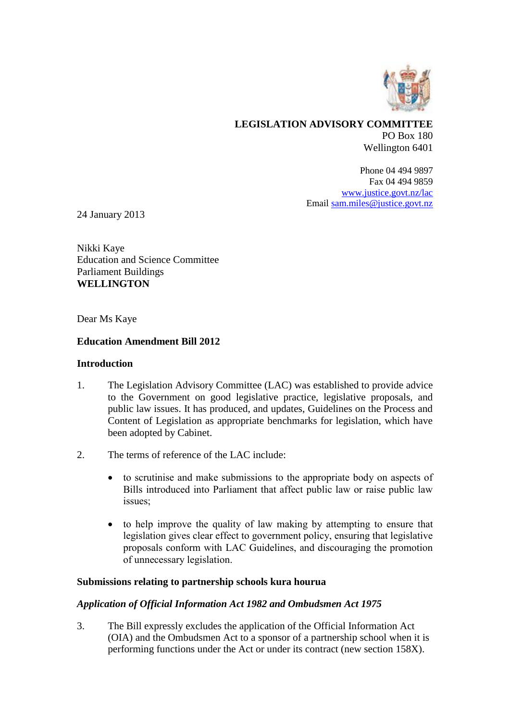

# **LEGISLATION ADVISORY COMMITTEE** PO Box 180 Wellington 6401

Phone 04 494 9897 Fax 04 494 9859 [www.justice.govt.nz/lac](http://www.justice.govt.nz/lac) Email [sam.miles@justice.govt.nz](mailto:sam.miles@justice.govt.nz)

24 January 2013

Nikki Kaye Education and Science Committee Parliament Buildings **WELLINGTON** 

Dear Ms Kaye

## **Education Amendment Bill 2012**

#### **Introduction**

- 1. The Legislation Advisory Committee (LAC) was established to provide advice to the Government on good legislative practice, legislative proposals, and public law issues. It has produced, and updates, Guidelines on the Process and Content of Legislation as appropriate benchmarks for legislation, which have been adopted by Cabinet.
- 2. The terms of reference of the LAC include:
	- to scrutinise and make submissions to the appropriate body on aspects of Bills introduced into Parliament that affect public law or raise public law issues;
	- to help improve the quality of law making by attempting to ensure that legislation gives clear effect to government policy, ensuring that legislative proposals conform with LAC Guidelines, and discouraging the promotion of unnecessary legislation.

## **Submissions relating to partnership schools kura hourua**

## *Application of Official Information Act 1982 and Ombudsmen Act 1975*

3. The Bill expressly excludes the application of the Official Information Act (OIA) and the Ombudsmen Act to a sponsor of a partnership school when it is performing functions under the Act or under its contract (new section 158X).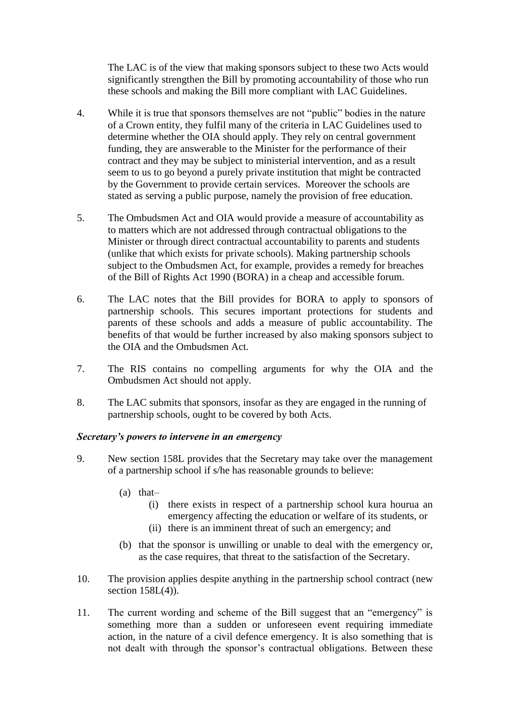The LAC is of the view that making sponsors subject to these two Acts would significantly strengthen the Bill by promoting accountability of those who run these schools and making the Bill more compliant with LAC Guidelines.

- 4. While it is true that sponsors themselves are not "public" bodies in the nature of a Crown entity, they fulfil many of the criteria in LAC Guidelines used to determine whether the OIA should apply. They rely on central government funding, they are answerable to the Minister for the performance of their contract and they may be subject to ministerial intervention, and as a result seem to us to go beyond a purely private institution that might be contracted by the Government to provide certain services. Moreover the schools are stated as serving a public purpose, namely the provision of free education.
- 5. The Ombudsmen Act and OIA would provide a measure of accountability as to matters which are not addressed through contractual obligations to the Minister or through direct contractual accountability to parents and students (unlike that which exists for private schools). Making partnership schools subject to the Ombudsmen Act, for example, provides a remedy for breaches of the Bill of Rights Act 1990 (BORA) in a cheap and accessible forum.
- 6. The LAC notes that the Bill provides for BORA to apply to sponsors of partnership schools. This secures important protections for students and parents of these schools and adds a measure of public accountability. The benefits of that would be further increased by also making sponsors subject to the OIA and the Ombudsmen Act.
- 7. The RIS contains no compelling arguments for why the OIA and the Ombudsmen Act should not apply.
- 8. The LAC submits that sponsors, insofar as they are engaged in the running of partnership schools, ought to be covered by both Acts.

## *Secretary's powers to intervene in an emergency*

- 9. New section 158L provides that the Secretary may take over the management of a partnership school if s/he has reasonable grounds to believe:
	- (a) that–
		- (i) there exists in respect of a partnership school kura hourua an emergency affecting the education or welfare of its students, or
		- (ii) there is an imminent threat of such an emergency; and
	- (b) that the sponsor is unwilling or unable to deal with the emergency or, as the case requires, that threat to the satisfaction of the Secretary.
- 10. The provision applies despite anything in the partnership school contract (new section  $158L(4)$ ).
- 11. The current wording and scheme of the Bill suggest that an "emergency" is something more than a sudden or unforeseen event requiring immediate action, in the nature of a civil defence emergency. It is also something that is not dealt with through the sponsor's contractual obligations. Between these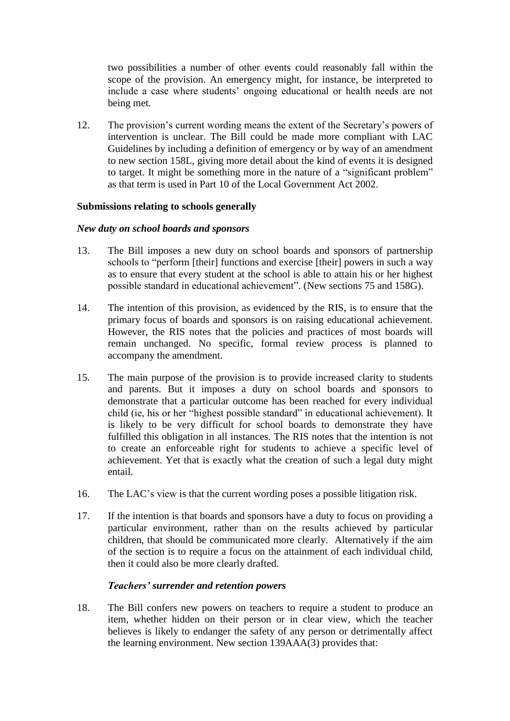two possibilities a number of other events could reasonably fall within the scope of the provision. An emergency might, for instance, be interpreted to include a case where students' ongoing educational or health needs are not being met.

12. The provision's current wording means the extent of the Secretary's powers of intervention is unclear. The Bill could be made more compliant with LAC Guidelines by including a definition of emergency or by way of an amendment to new section 158L, giving more detail about the kind of events it is designed to target. It might be something more in the nature of a "significant problem" as that term is used in Part 10 of the Local Government Act 2002.

# **Submissions relating to schools generally**

## *New duty on school boards and sponsors*

- 13. The Bill imposes a new duty on school boards and sponsors of partnership schools to "perform [their] functions and exercise [their] powers in such a way as to ensure that every student at the school is able to attain his or her highest possible standard in educational achievement". (New sections 75 and 158G).
- 14. The intention of this provision, as evidenced by the RIS, is to ensure that the primary focus of boards and sponsors is on raising educational achievement. However, the RIS notes that the policies and practices of most boards will remain unchanged. No specific, formal review process is planned to accompany the amendment.
- 15. The main purpose of the provision is to provide increased clarity to students and parents. But it imposes a duty on school boards and sponsors to demonstrate that a particular outcome has been reached for every individual child (ie, his or her "highest possible standard" in educational achievement). It is likely to be very difficult for school boards to demonstrate they have fulfilled this obligation in all instances. The RIS notes that the intention is not to create an enforceable right for students to achieve a specific level of achievement. Yet that is exactly what the creation of such a legal duty might entail.
- 16. The LAC's view is that the current wording poses a possible litigation risk.
- 17. If the intention is that boards and sponsors have a duty to focus on providing a particular environment, rather than on the results achieved by particular children, that should be communicated more clearly. Alternatively if the aim of the section is to require a focus on the attainment of each individual child, then it could also be more clearly drafted.

## *Teachers' surrender and retention powers*

18. The Bill confers new powers on teachers to require a student to produce an item, whether hidden on their person or in clear view, which the teacher believes is likely to endanger the safety of any person or detrimentally affect the learning environment. New section 139AAA(3) provides that: